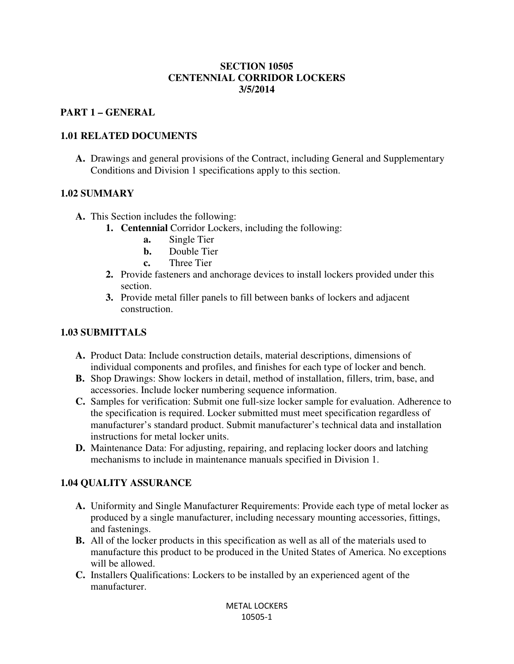#### **SECTION 10505 CENTENNIAL CORRIDOR LOCKERS 3/5/2014**

#### **PART 1 – GENERAL**

### **1.01 RELATED DOCUMENTS**

**A.** Drawings and general provisions of the Contract, including General and Supplementary Conditions and Division 1 specifications apply to this section.

### **1.02 SUMMARY**

- **A.** This Section includes the following:
	- **1. Centennial** Corridor Lockers, including the following:
		- **a.** Single Tier
		- **b.** Double Tier
		- **c.** Three Tier
	- **2.** Provide fasteners and anchorage devices to install lockers provided under this section.
	- **3.** Provide metal filler panels to fill between banks of lockers and adjacent construction.

### **1.03 SUBMITTALS**

- **A.** Product Data: Include construction details, material descriptions, dimensions of individual components and profiles, and finishes for each type of locker and bench.
- **B.** Shop Drawings: Show lockers in detail, method of installation, fillers, trim, base, and accessories. Include locker numbering sequence information.
- **C.** Samples for verification: Submit one full-size locker sample for evaluation. Adherence to the specification is required. Locker submitted must meet specification regardless of manufacturer's standard product. Submit manufacturer's technical data and installation instructions for metal locker units.
- **D.** Maintenance Data: For adjusting, repairing, and replacing locker doors and latching mechanisms to include in maintenance manuals specified in Division 1.

## **1.04 QUALITY ASSURANCE**

- **A.** Uniformity and Single Manufacturer Requirements: Provide each type of metal locker as produced by a single manufacturer, including necessary mounting accessories, fittings, and fastenings.
- **B.** All of the locker products in this specification as well as all of the materials used to manufacture this product to be produced in the United States of America. No exceptions will be allowed.
- **C.** Installers Qualifications: Lockers to be installed by an experienced agent of the manufacturer.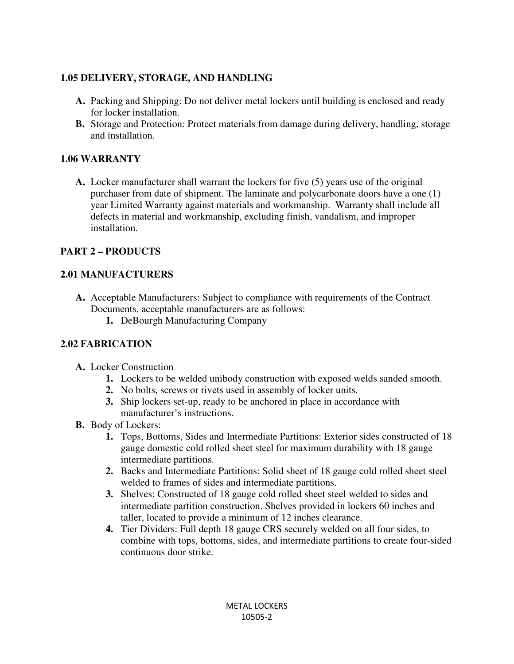## **1.05 DELIVERY, STORAGE, AND HANDLING**

- **A.** Packing and Shipping: Do not deliver metal lockers until building is enclosed and ready for locker installation.
- **B.** Storage and Protection: Protect materials from damage during delivery, handling, storage and installation.

## **1.06 WARRANTY**

**A.** Locker manufacturer shall warrant the lockers for five (5) years use of the original purchaser from date of shipment. The laminate and polycarbonate doors have a one (1) year Limited Warranty against materials and workmanship. Warranty shall include all defects in material and workmanship, excluding finish, vandalism, and improper installation.

# **PART 2 – PRODUCTS**

# **2.01 MANUFACTURERS**

- **A.** Acceptable Manufacturers: Subject to compliance with requirements of the Contract Documents, acceptable manufacturers are as follows:
	- **1.** DeBourgh Manufacturing Company

# **2.02 FABRICATION**

- **A.** Locker Construction
	- **1.** Lockers to be welded unibody construction with exposed welds sanded smooth.
	- **2.** No bolts, screws or rivets used in assembly of locker units.
	- **3.** Ship lockers set-up, ready to be anchored in place in accordance with manufacturer's instructions.
- **B.** Body of Lockers:
	- **1.** Tops, Bottoms, Sides and Intermediate Partitions: Exterior sides constructed of 18 gauge domestic cold rolled sheet steel for maximum durability with 18 gauge intermediate partitions.
	- **2.** Backs and Intermediate Partitions: Solid sheet of 18 gauge cold rolled sheet steel welded to frames of sides and intermediate partitions.
	- **3.** Shelves: Constructed of 18 gauge cold rolled sheet steel welded to sides and intermediate partition construction. Shelves provided in lockers 60 inches and taller, located to provide a minimum of 12 inches clearance.
	- **4.** Tier Dividers: Full depth 18 gauge CRS securely welded on all four sides, to combine with tops, bottoms, sides, and intermediate partitions to create four-sided continuous door strike.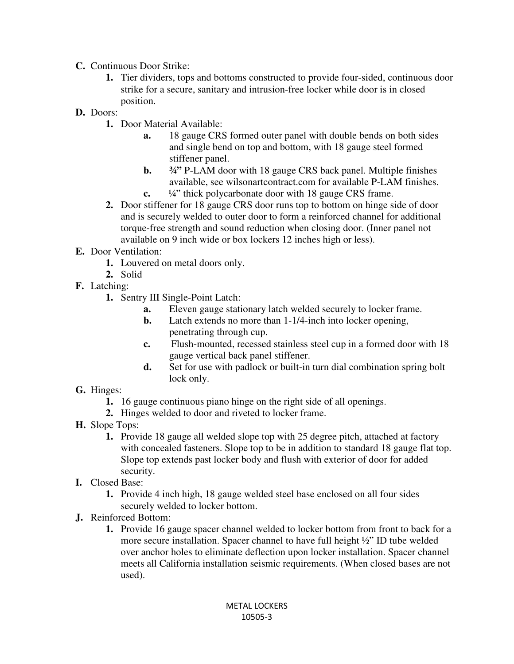- **C.** Continuous Door Strike:
	- **1.** Tier dividers, tops and bottoms constructed to provide four-sided, continuous door strike for a secure, sanitary and intrusion-free locker while door is in closed position.
- **D.** Doors:
	- **1.** Door Material Available:
		- **a.** 18 gauge CRS formed outer panel with double bends on both sides and single bend on top and bottom, with 18 gauge steel formed stiffener panel.
		- **b. 34** P-LAM door with 18 gauge CRS back panel. Multiple finishes available, see wilsonartcontract.com for available P-LAM finishes. **c.** ¼" thick polycarbonate door with 18 gauge CRS frame.
	- **2.** Door stiffener for 18 gauge CRS door runs top to bottom on hinge side of door and is securely welded to outer door to form a reinforced channel for additional torque-free strength and sound reduction when closing door. (Inner panel not available on 9 inch wide or box lockers 12 inches high or less).
- **E.** Door Ventilation:
	- **1.** Louvered on metal doors only.
	- **2.** Solid
- **F.** Latching:
	- **1.** Sentry III Single-Point Latch:
		- **a.** Eleven gauge stationary latch welded securely to locker frame.
		- **b.** Latch extends no more than 1-1/4-inch into locker opening, penetrating through cup.
		- **c.** Flush-mounted, recessed stainless steel cup in a formed door with 18 gauge vertical back panel stiffener.
		- **d.** Set for use with padlock or built-in turn dial combination spring bolt lock only.
- **G.** Hinges:
	- **1.** 16 gauge continuous piano hinge on the right side of all openings.
	- **2.** Hinges welded to door and riveted to locker frame.
- **H.** Slope Tops:
	- **1.** Provide 18 gauge all welded slope top with 25 degree pitch, attached at factory with concealed fasteners. Slope top to be in addition to standard 18 gauge flat top. Slope top extends past locker body and flush with exterior of door for added security.
- **I.** Closed Base:
	- **1.** Provide 4 inch high, 18 gauge welded steel base enclosed on all four sides securely welded to locker bottom.
- **J.** Reinforced Bottom:
	- **1.** Provide 16 gauge spacer channel welded to locker bottom from front to back for a more secure installation. Spacer channel to have full height ½" ID tube welded over anchor holes to eliminate deflection upon locker installation. Spacer channel meets all California installation seismic requirements. (When closed bases are not used).